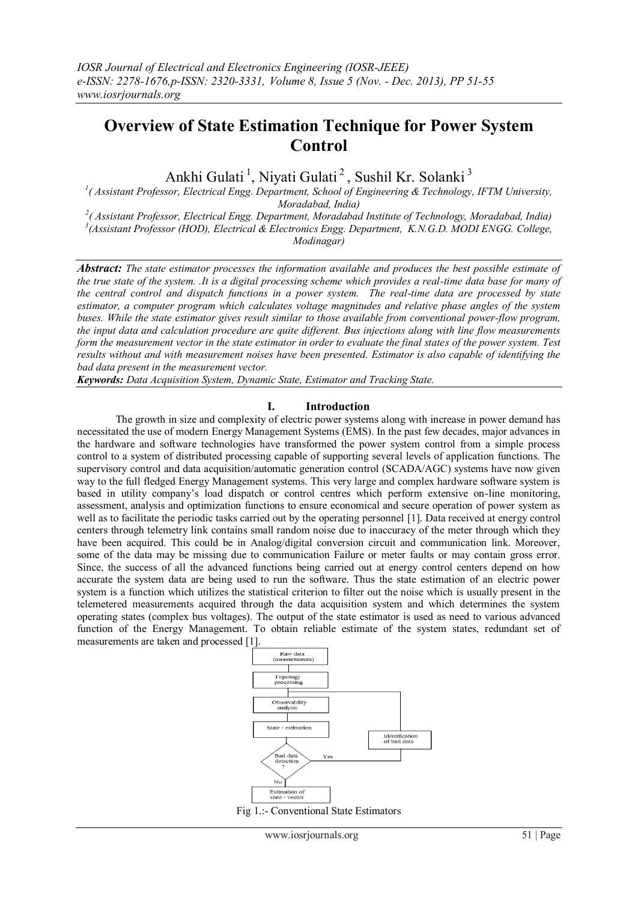# **Overview of State Estimation Technique for Power System Control**

Ankhi Gulati<sup>1</sup>, Niyati Gulati<sup>2</sup>, Sushil Kr. Solanki<sup>3</sup>

<sup>1</sup>( Assistant Professor, Electrical Engg. Department, School of Engineering & Technology, IFTM University, *Moradabad, India)*

*2 ( Assistant Professor, Electrical Engg. Department, Moradabad Institute of Technology, Moradabad, India) 3 (Assistant Professor (HOD), Electrical & Electronics Engg. Department, K.N.G.D. MODI ENGG. College, Modinagar)*

*Abstract: The state estimator processes the information available and produces the best possible estimate of the true state of the system. .It is a digital processing scheme which provides a real-time data base for many of the central control and dispatch functions in a power system. The real-time data are processed by state estimator, a computer program which calculates voltage magnitudes and relative phase angles of the system buses. While the state estimator gives result similar to those available from conventional power-flow program, the input data and calculation procedure are quite different. Bus injections along with line flow measurements form the measurement vector in the state estimator in order to evaluate the final states of the power system. Test results without and with measurement noises have been presented. Estimator is also capable of identifying the bad data present in the measurement vector.* 

*Keywords: Data Acquisition System, Dynamic State, Estimator and Tracking State.*

## **I. Introduction**

The growth in size and complexity of electric power systems along with increase in power demand has necessitated the use of modern Energy Management Systems (EMS). In the past few decades, major advances in the hardware and software technologies have transformed the power system control from a simple process control to a system of distributed processing capable of supporting several levels of application functions. The supervisory control and data acquisition/automatic generation control (SCADA/AGC) systems have now given way to the full fledged Energy Management systems. This very large and complex hardware software system is based in utility company"s load dispatch or control centres which perform extensive on-line monitoring, assessment, analysis and optimization functions to ensure economical and secure operation of power system as well as to facilitate the periodic tasks carried out by the operating personnel [1]. Data received at energy control centers through telemetry link contains small random noise due to inaccuracy of the meter through which they have been acquired. This could be in Analog/digital conversion circuit and communication link. Moreover, some of the data may be missing due to communication Failure or meter faults or may contain gross error. Since, the success of all the advanced functions being carried out at energy control centers depend on how accurate the system data are being used to run the software. Thus the state estimation of an electric power system is a function which utilizes the statistical criterion to filter out the noise which is usually present in the telemetered measurements acquired through the data acquisition system and which determines the system operating states (complex bus voltages). The output of the state estimator is used as need to various advanced function of the Energy Management. To obtain reliable estimate of the system states, redundant set of measurements are taken and processed [1].



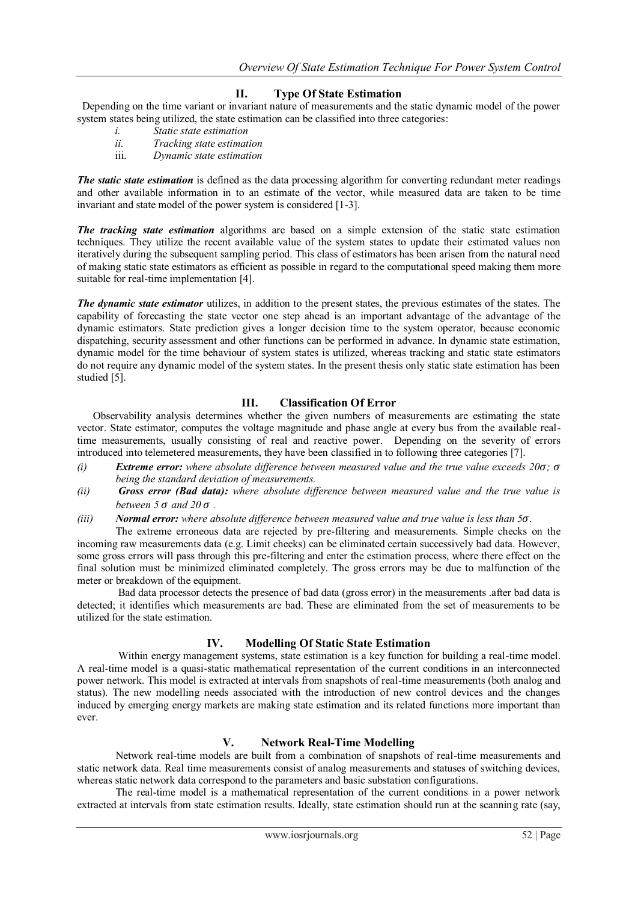# **II. Type Of State Estimation**

 Depending on the time variant or invariant nature of measurements and the static dynamic model of the power system states being utilized, the state estimation can be classified into three categories:

- *i. Static state estimation*
- *ii. Tracking state estimation*
- iii. *Dynamic state estimation*

*The static state estimation* is defined as the data processing algorithm for converting redundant meter readings and other available information in to an estimate of the vector, while measured data are taken to be time invariant and state model of the power system is considered [1-3].

*The tracking state estimation* algorithms are based on a simple extension of the static state estimation techniques. They utilize the recent available value of the system states to update their estimated values non iteratively during the subsequent sampling period. This class of estimators has been arisen from the natural need of making static state estimators as efficient as possible in regard to the computational speed making them more suitable for real-time implementation [4].

*The dynamic state estimator* utilizes, in addition to the present states, the previous estimates of the states. The capability of forecasting the state vector one step ahead is an important advantage of the advantage of the dynamic estimators. State prediction gives a longer decision time to the system operator, because economic dispatching, security assessment and other functions can be performed in advance. In dynamic state estimation, dynamic model for the time behaviour of system states is utilized, whereas tracking and static state estimators do not require any dynamic model of the system states. In the present thesis only static state estimation has been studied [5].

# **III. Classification Of Error**

 Observability analysis determines whether the given numbers of measurements are estimating the state vector. State estimator, computes the voltage magnitude and phase angle at every bus from the available realtime measurements, usually consisting of real and reactive power. Depending on the severity of errors introduced into telemetered measurements, they have been classified in to following three categories [7].

- *(i) Extreme error: where absolute difference between measured value and the true value exceeds 20* $\sigma$ *;*  $\sigma$ *being the standard deviation of measurements.*
- *(ii) Gross error (Bad data): where absolute difference between measured value and the true value is between*  $5 \sigma$  *and*  $20 \sigma$ .
- *(iii) Normal error: where absolute difference between measured value and true value is less than 5.*

 The extreme erroneous data are rejected by pre-filtering and measurements. Simple checks on the incoming raw measurements data (e.g. Limit cheeks) can be eliminated certain successively bad data. However, some gross errors will pass through this pre-filtering and enter the estimation process, where there effect on the final solution must be minimized eliminated completely. The gross errors may be due to malfunction of the meter or breakdown of the equipment.

 Bad data processor detects the presence of bad data (gross error) in the measurements .after bad data is detected; it identifies which measurements are bad. These are eliminated from the set of measurements to be utilized for the state estimation.

## **IV. Modelling Of Static State Estimation**

Within energy management systems, state estimation is a key function for building a real-time model. A real-time model is a quasi-static mathematical representation of the current conditions in an interconnected power network. This model is extracted at intervals from snapshots of real-time measurements (both analog and status). The new modelling needs associated with the introduction of new control devices and the changes induced by emerging energy markets are making state estimation and its related functions more important than ever.

## **V. Network Real-Time Modelling**

 Network real-time models are built from a combination of snapshots of real-time measurements and static network data. Real time measurements consist of analog measurements and statuses of switching devices, whereas static network data correspond to the parameters and basic substation configurations.

 The real-time model is a mathematical representation of the current conditions in a power network extracted at intervals from state estimation results. Ideally, state estimation should run at the scanning rate (say,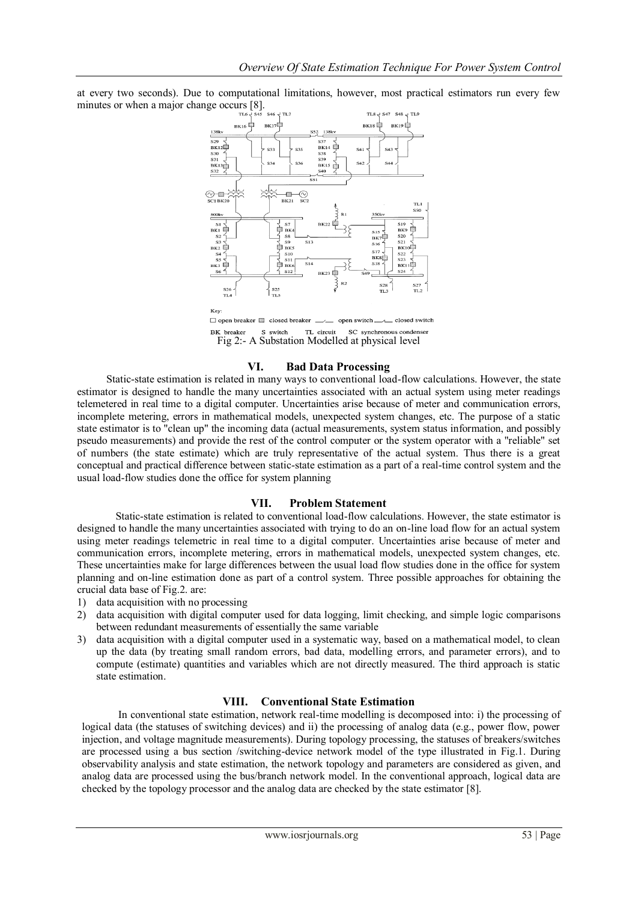at every two seconds). Due to computational limitations, however, most practical estimators run every few minutes or when a major change occurs [8].



## **VI. Bad Data Processing**

Static-state estimation is related in many ways to conventional load-flow calculations. However, the state estimator is designed to handle the many uncertainties associated with an actual system using meter readings telemetered in real time to a digital computer. Uncertainties arise because of meter and communication errors, incomplete metering, errors in mathematical models, unexpected system changes, etc. The purpose of a static state estimator is to "clean up" the incoming data (actual measurements, system status information, and possibly pseudo measurements) and provide the rest of the control computer or the system operator with a "reliable" set of numbers (the state estimate) which are truly representative of the actual system. Thus there is a great conceptual and practical difference between static-state estimation as a part of a real-time control system and the usual load-flow studies done the office for system planning

#### **VII. Problem Statement**

Static-state estimation is related to conventional load-flow calculations. However, the state estimator is designed to handle the many uncertainties associated with trying to do an on-line load flow for an actual system using meter readings telemetric in real time to a digital computer. Uncertainties arise because of meter and communication errors, incomplete metering, errors in mathematical models, unexpected system changes, etc. These uncertainties make for large differences between the usual load flow studies done in the office for system planning and on-line estimation done as part of a control system. Three possible approaches for obtaining the crucial data base of Fig.2. are:

- 1) data acquisition with no processing
- 2) data acquisition with digital computer used for data logging, limit checking, and simple logic comparisons between redundant measurements of essentially the same variable
- 3) data acquisition with a digital computer used in a systematic way, based on a mathematical model, to clean up the data (by treating small random errors, bad data, modelling errors, and parameter errors), and to compute (estimate) quantities and variables which are not directly measured. The third approach is static state estimation.

#### **VIII. Conventional State Estimation**

 In conventional state estimation, network real-time modelling is decomposed into: i) the processing of logical data (the statuses of switching devices) and ii) the processing of analog data (e.g., power flow, power injection, and voltage magnitude measurements). During topology processing, the statuses of breakers/switches are processed using a bus section /switching-device network model of the type illustrated in Fig.1. During observability analysis and state estimation, the network topology and parameters are considered as given, and analog data are processed using the bus/branch network model. In the conventional approach, logical data are checked by the topology processor and the analog data are checked by the state estimator [8].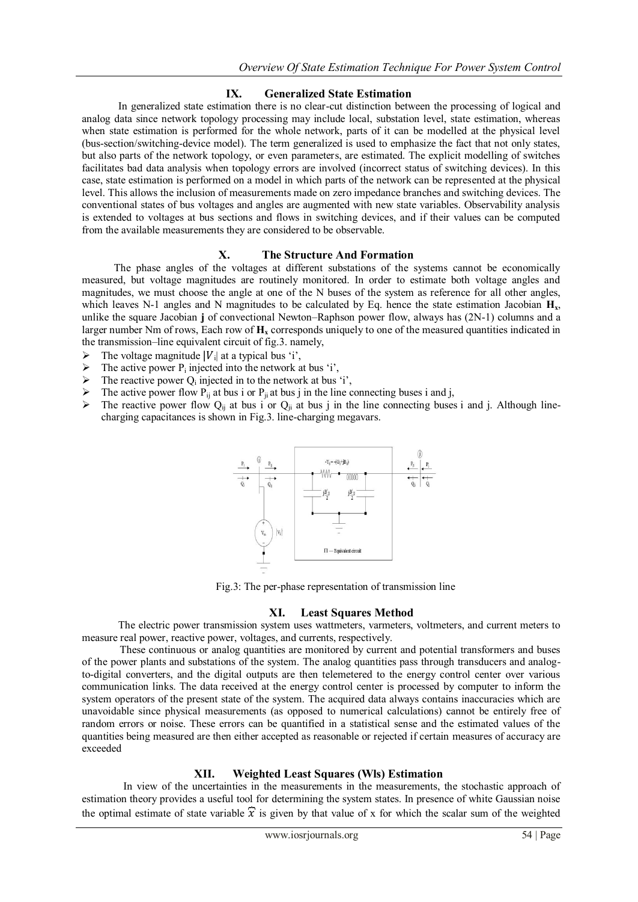# **IX. Generalized State Estimation**

 In generalized state estimation there is no clear-cut distinction between the processing of logical and analog data since network topology processing may include local, substation level, state estimation, whereas when state estimation is performed for the whole network, parts of it can be modelled at the physical level (bus-section/switching-device model). The term generalized is used to emphasize the fact that not only states, but also parts of the network topology, or even parameters, are estimated. The explicit modelling of switches facilitates bad data analysis when topology errors are involved (incorrect status of switching devices). In this case, state estimation is performed on a model in which parts of the network can be represented at the physical level. This allows the inclusion of measurements made on zero impedance branches and switching devices. The conventional states of bus voltages and angles are augmented with new state variables. Observability analysis is extended to voltages at bus sections and flows in switching devices, and if their values can be computed from the available measurements they are considered to be observable.

## **X. The Structure And Formation**

 The phase angles of the voltages at different substations of the systems cannot be economically measured, but voltage magnitudes are routinely monitored. In order to estimate both voltage angles and magnitudes, we must choose the angle at one of the N buses of the system as reference for all other angles, which leaves N-1 angles and N magnitudes to be calculated by Eq. hence the state estimation Jacobian  $H_x$ , unlike the square Jacobian **j** of convectional Newton–Raphson power flow, always has (2N-1) columns and a larger number Nm of rows, Each row of  $H_x$  corresponds uniquely to one of the measured quantities indicated in the transmission–line equivalent circuit of fig.3. namely,

- $\triangleright$  The voltage magnitude |V<sub>i</sub>| at a typical bus 'i',
- $\triangleright$  The active power P<sub>i</sub> injected into the network at bus 'i',
- $\triangleright$  The reactive power  $Q_i$  injected in to the network at bus 'i',
- The active power flow  $P_{ij}$  at bus i or  $P_{ji}$  at bus j in the line connecting buses i and j,<br>
The reactive power flow  $Q_{ij}$  at bus i or  $Q_{ij}$  at bus i in the line connecting buses
- The reactive power flow  $Q_{ii}$  at bus i or  $Q_{ii}$  at bus j in the line connecting buses i and j. Although linecharging capacitances is shown in Fig.3. line-charging megavars.



Fig.3: The per-phase representation of transmission line

## **XI. Least Squares Method**

The electric power transmission system uses wattmeters, varmeters, voltmeters, and current meters to measure real power, reactive power, voltages, and currents, respectively.

 These continuous or analog quantities are monitored by current and potential transformers and buses of the power plants and substations of the system. The analog quantities pass through transducers and analogto-digital converters, and the digital outputs are then telemetered to the energy control center over various communication links. The data received at the energy control center is processed by computer to inform the system operators of the present state of the system. The acquired data always contains inaccuracies which are unavoidable since physical measurements (as opposed to numerical calculations) cannot be entirely free of random errors or noise. These errors can be quantified in a statistical sense and the estimated values of the quantities being measured are then either accepted as reasonable or rejected if certain measures of accuracy are exceeded

## **XII. Weighted Least Squares (Wls) Estimation**

 In view of the uncertainties in the measurements in the measurements, the stochastic approach of estimation theory provides a useful tool for determining the system states. In presence of white Gaussian noise the optimal estimate of state variable  $\hat{x}$  is given by that value of x for which the scalar sum of the weighted